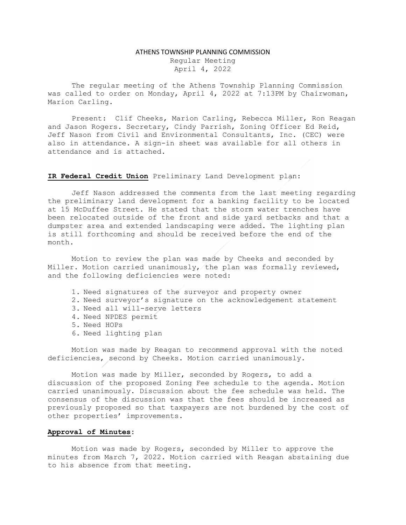## ATHENS TOWNSHIP PLANNING COMMISSION

Regular Meeting April 4, 2022

The regular meeting of the Athens Township Planning Commission was called to order on Monday, April 4, 2022 at 7:13PM by Chairwoman, Marion Carling.

Present: Clif Cheeks, Marion Carling, Rebecca Miller, Ron Reagan and Jason Rogers. Secretary, Cindy Parrish, Zoning Officer Ed Reid, Jeff Nason from Civil and Environmental Consultants, Inc. (CEC) were also in attendance. A sign-in sheet was available for all others in attendance and is attached.

## IR Federal Credit Union Preliminary Land Development plan:

Jeff Nason addressed the comments from the last meeting regarding the preliminary land development for a banking facility to be located at 15 McDuffee Street. He stated that the storm water trenches have been relocated outside of the front and side yard setbacks and that a dumpster area and extended landscaping were added. The lighting plan is still forthcoming and should be received before the end of the month.

Motion to review the plan was made by Cheeks and seconded by Miller. Motion carried unanimously, the plan was formally reviewed, and the following deficiencies were noted:

- 1. Need signatures of the surveyor and property owner
- 2. Need surveyor's signature on the acknowledgement statement
- 3. Need all will-serve letters
- 4. Need NPDES permit
- 5. Need HOPs
- 6. Need lighting plan

Motion was made by Reagan to recommend approval with the noted deficiencies, second by Cheeks. Motion carried unanimously.

 Motion was made by Miller, seconded by Rogers, to add a discussion of the proposed Zoning Fee schedule to the agenda. Motion carried unanimously. Discussion about the fee schedule was held. The consensus of the discussion was that the fees should be increased as previously proposed so that taxpayers are not burdened by the cost of other properties' improvements.

## Approval of Minutes:

 Motion was made by Rogers, seconded by Miller to approve the minutes from March 7, 2022. Motion carried with Reagan abstaining due to his absence from that meeting.